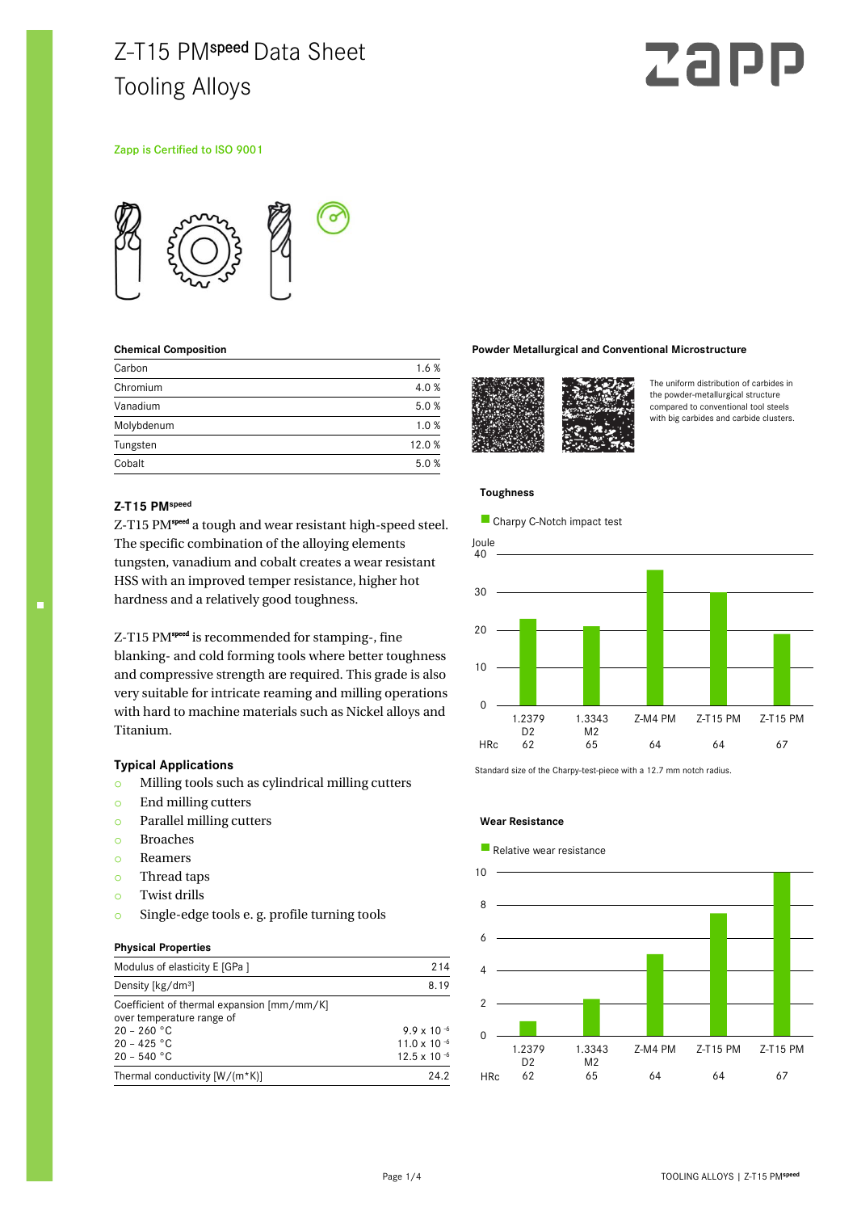## Z-T15 PMspeed Data Sheet Tooling Alloys

# Zal

#### Zapp is Certified to ISO 9001



#### **Chemical Composition**

| Carbon     | 1.6%  |
|------------|-------|
| Chromium   | 4.0 % |
| Vanadium   | 5.0%  |
| Molybdenum | 1.0%  |
| Tungsten   | 12.0% |
| Cobalt     | 5.0%  |

#### **Z-T15 PMspeed**

Z-T15 PM<sup>speed</sup> a tough and wear resistant high-speed steel. The specific combination of the alloying elements tungsten, vanadium and cobalt creates a wear resistant HSS with an improved temper resistance, higher hot hardness and a relatively good toughness.

Z-T15 PM<sup>speed</sup> is recommended for stamping-, fine blanking- and cold forming tools where better toughness and compressive strength are required. This grade is also very suitable for intricate reaming and milling operations with hard to machine materials such as Nickel alloys and Titanium.

#### **Typical Applications**

- o Milling tools such as cylindrical milling cutters
- o End milling cutters
- o Parallel milling cutters
- o Broaches
- o Reamers
- o Thread taps
- o Twist drills
- o Single-edge tools e. g. profile turning tools

#### **Physical Properties**

| Modulus of elasticity E [GPa ]                                                           | 214                                     |
|------------------------------------------------------------------------------------------|-----------------------------------------|
| Density [kg/dm <sup>3</sup> ]                                                            | 8.19                                    |
| Coefficient of thermal expansion [mm/mm/K]<br>over temperature range of<br>$20 - 260 °C$ | $9.9 \times 10^{-6}$                    |
| $20 - 425$ °C<br>$20 - 540 °C$                                                           | 11.0 x 10 $-6$<br>$12.5 \times 10^{-6}$ |
| Thermal conductivity $[W/(m*K)]$                                                         | 24.2                                    |

#### **Powder Metallurgical and Conventional Microstructure**



The uniform distribution of carbides in the powder-metallurgical structure compared to conventional tool steels with big carbides and carbide clusters.

#### **Toughness**

**Charpy C-Notch impact test** 



Standard size of the Charpy-test-piece with a 12.7 mm notch radius.

#### **Wear Resistance**

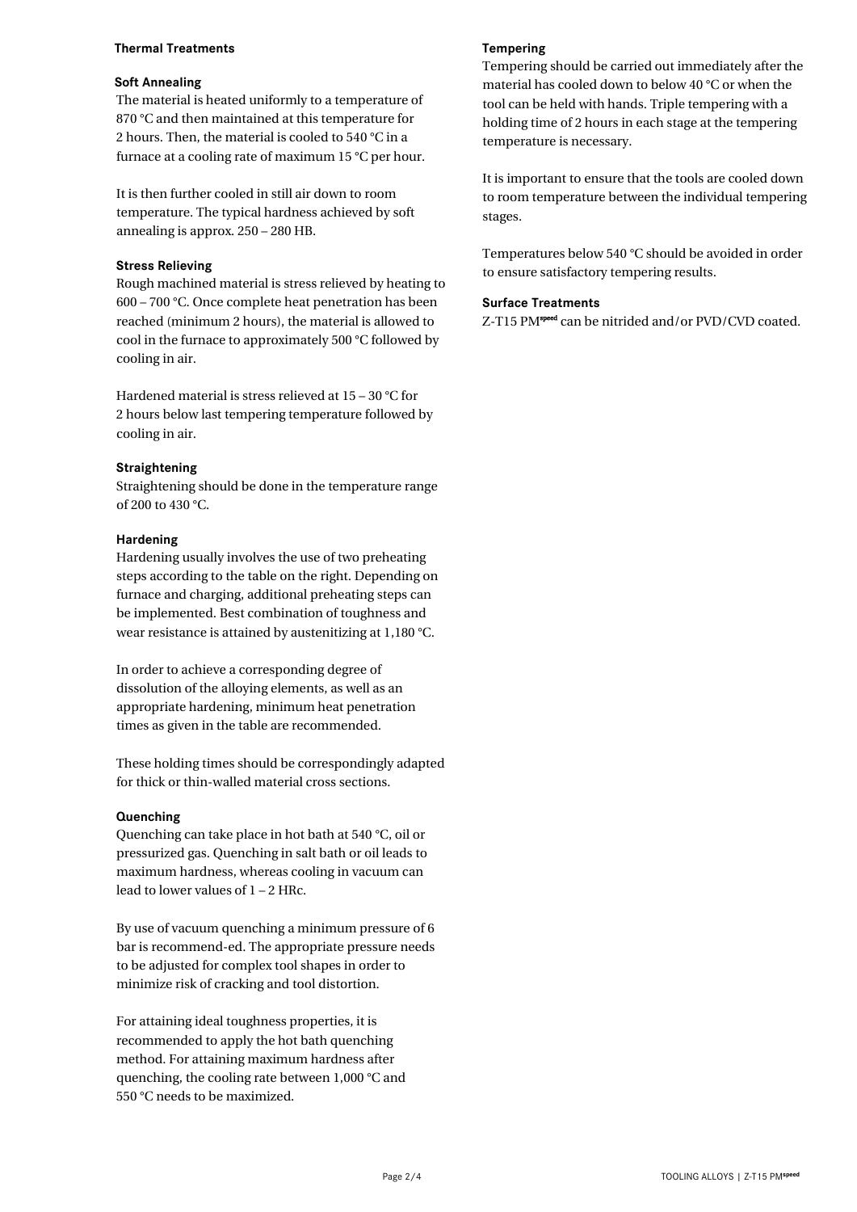#### **Thermal Treatments**

#### **Soft Annealing**

The material is heated uniformly to a temperature of 870 °C and then maintained at this temperature for 2 hours. Then, the material is cooled to 540 °C in a furnace at a cooling rate of maximum 15 °C per hour.

It is then further cooled in still air down to room temperature. The typical hardness achieved by soft annealing is approx. 250 – 280 HB.

#### **Stress Relieving**

Rough machined material is stress relieved by heating to 600 – 700 °C. Once complete heat penetration has been reached (minimum 2 hours), the material is allowed to cool in the furnace to approximately 500 °C followed by cooling in air.

Hardened material is stress relieved at 15 – 30 °C for 2 hours below last tempering temperature followed by cooling in air.

#### **Straightening**

Straightening should be done in the temperature range of 200 to 430 °C.

#### **Hardening**

Hardening usually involves the use of two preheating steps according to the table on the right. Depending on furnace and charging, additional preheating steps can be implemented. Best combination of toughness and wear resistance is attained by austenitizing at 1,180 °C.

In order to achieve a corresponding degree of dissolution of the alloying elements, as well as an appropriate hardening, minimum heat penetration times as given in the table are recommended.

These holding times should be correspondingly adapted for thick or thin-walled material cross sections.

#### **Quenching**

Quenching can take place in hot bath at 540 °C, oil or pressurized gas. Quenching in salt bath or oil leads to maximum hardness, whereas cooling in vacuum can lead to lower values of 1 – 2 HRc.

By use of vacuum quenching a minimum pressure of 6 bar is recommend-ed. The appropriate pressure needs to be adjusted for complex tool shapes in order to minimize risk of cracking and tool distortion.

For attaining ideal toughness properties, it is recommended to apply the hot bath quenching method. For attaining maximum hardness after quenching, the cooling rate between 1,000 °C and 550 °C needs to be maximized.

#### **Tempering**

Tempering should be carried out immediately after the material has cooled down to below 40 °C or when the tool can be held with hands. Triple tempering with a holding time of 2 hours in each stage at the tempering temperature is necessary.

It is important to ensure that the tools are cooled down to room temperature between the individual tempering stages.

Temperatures below 540 °C should be avoided in order to ensure satisfactory tempering results.

#### **Surface Treatments**

Z-T15 PM<sup>speed</sup> can be nitrided and/or PVD/CVD coated.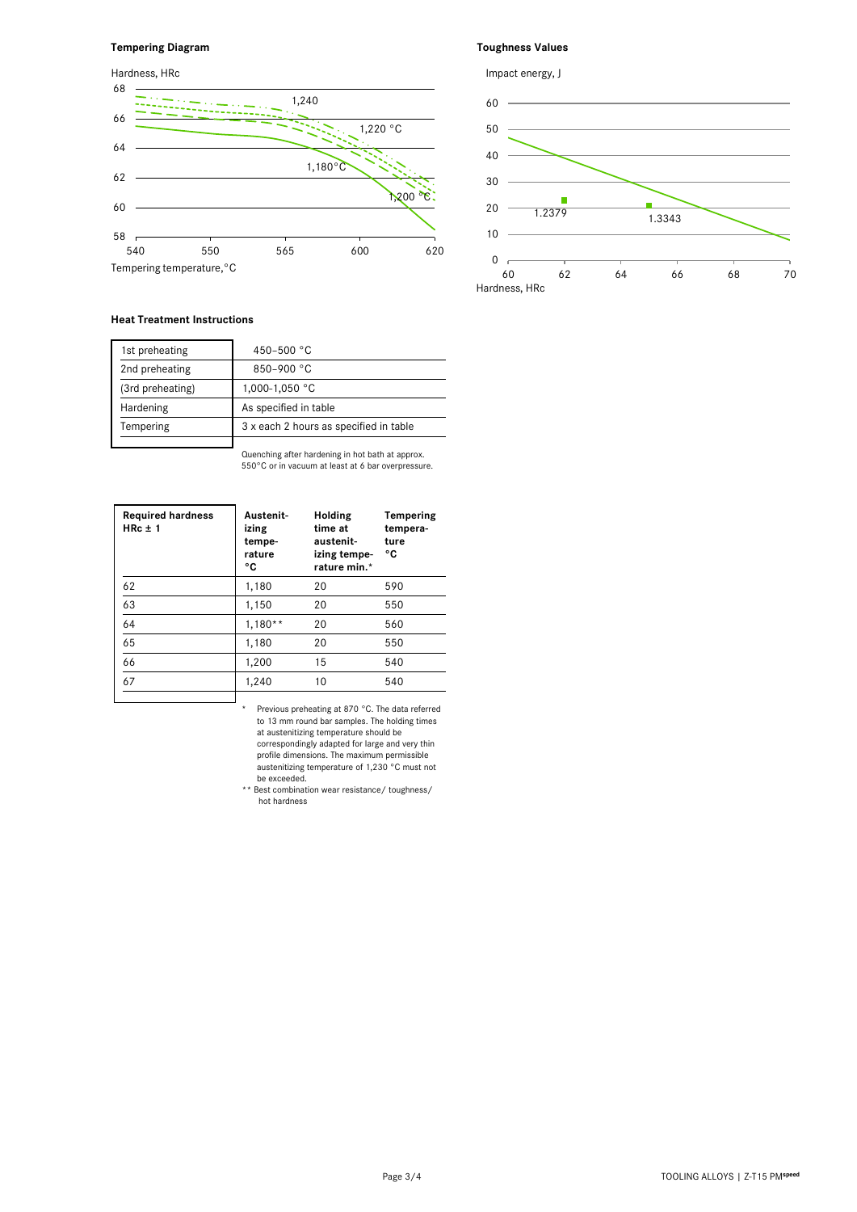#### **Tempering Diagram**

#### $58 -$ 60 62 64 66 68 540 550 565 600 620 1,220 °C 1,180°C Tempering temperature,°C 1,200 °C 1,240 Hardness, HRc



**Toughness Values**

#### **Heat Treatment Instructions**

| 1st preheating   | 450-500 $^{\circ}$ C                   |
|------------------|----------------------------------------|
| 2nd preheating   | 850-900 °C                             |
| (3rd preheating) | 1,000-1,050 °C                         |
| Hardening        | As specified in table                  |
| Tempering        | 3 x each 2 hours as specified in table |
|                  |                                        |

Quenching after hardening in hot bath at approx. 550°C or in vacuum at least at 6 bar overpressure.

| <b>Required hardness</b><br>$HRC \pm 1$ | Austenit-<br>izing<br>tempe-<br>rature<br>۰c | Holding<br>time at<br>austenit-<br>izing tempe-<br>rature min.* | Tempering<br>tempera-<br>ture<br>۰c |
|-----------------------------------------|----------------------------------------------|-----------------------------------------------------------------|-------------------------------------|
| 62                                      | 1,180                                        | 20                                                              | 590                                 |
| 63                                      | 1,150                                        | 20                                                              | 550                                 |
| 64                                      | $1,180**$                                    | 20                                                              | 560                                 |
| 65                                      | 1,180                                        | 20                                                              | 550                                 |
| 66                                      | 1,200                                        | 15                                                              | 540                                 |
| 67                                      | 1,240                                        | 10                                                              | 540                                 |
|                                         |                                              |                                                                 |                                     |

\* Previous preheating at 870 °C. The data referred to 13 mm round bar samples. The holding times at austenitizing temperature should be correspondingly adapted for large and very thin profile dimensions. The maximum permissible austenitizing temperature of 1,230 °C must not be exceeded.

 \*\* Best combination wear resistance/ toughness/ hot hardness

| Page 3/4 | TOOLING ALLOYS   Z-T15 PMspeed |  |
|----------|--------------------------------|--|